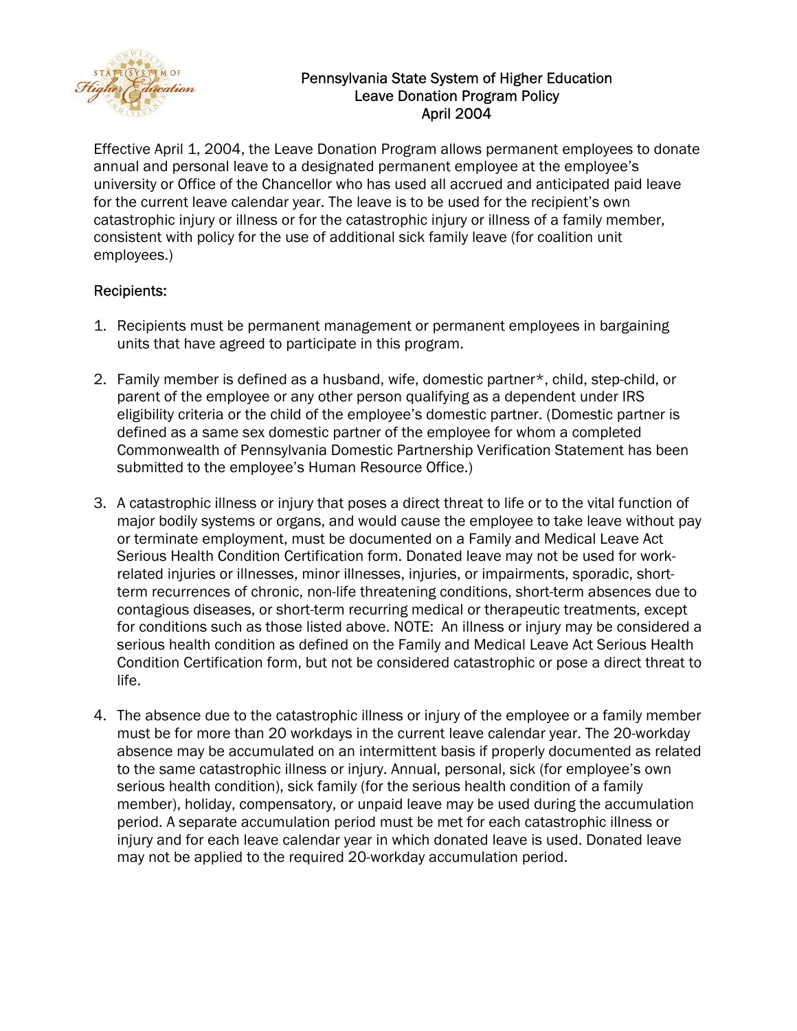

## Pennsylvania State System of Higher Education Leave Donation Program Policy April 2004

Effective April 1, 2004, the Leave Donation Program allows permanent employees to donate annual and personal leave to a designated permanent employee at the employee's university or Office of the Chancellor who has used all accrued and anticipated paid leave for the current leave calendar year. The leave is to be used for the recipient's own catastrophic injury or illness or for the catastrophic injury or illness of a family member, consistent with policy for the use of additional sick family leave (for coalition unit employees.)

## Recipients:

- 1. Recipients must be permanent management or permanent employees in bargaining units that have agreed to participate in this program.
- 2. Family member is defined as a husband, wife, domestic partner\*, child, step-child, or parent of the employee or any other person qualifying as a dependent under IRS eligibility criteria or the child of the employee's domestic partner. (Domestic partner is defined as a same sex domestic partner of the employee for whom a completed Commonwealth of Pennsylvania Domestic Partnership Verification Statement has been submitted to the employee's Human Resource Office.)
- 3. A catastrophic illness or injury that poses a direct threat to life or to the vital function of major bodily systems or organs, and would cause the employee to take leave without pay or terminate employment, must be documented on a Family and Medical Leave Act Serious Health Condition Certification form. Donated leave may not be used for workrelated injuries or illnesses, minor illnesses, injuries, or impairments, sporadic, shortterm recurrences of chronic, non-life threatening conditions, short-term absences due to contagious diseases, or short-term recurring medical or therapeutic treatments, except for conditions such as those listed above. NOTE: An illness or injury may be considered a serious health condition as defined on the Family and Medical Leave Act Serious Health Condition Certification form, but not be considered catastrophic or pose a direct threat to life.
- 4. The absence due to the catastrophic illness or injury of the employee or a family member must be for more than 20 workdays in the current leave calendar year. The 20-workday absence may be accumulated on an intermittent basis if properly documented as related to the same catastrophic illness or injury. Annual, personal, sick (for employee's own serious health condition), sick family (for the serious health condition of a family member), holiday, compensatory, or unpaid leave may be used during the accumulation period. A separate accumulation period must be met for each catastrophic illness or injury and for each leave calendar year in which donated leave is used. Donated leave may not be applied to the required 20-workday accumulation period.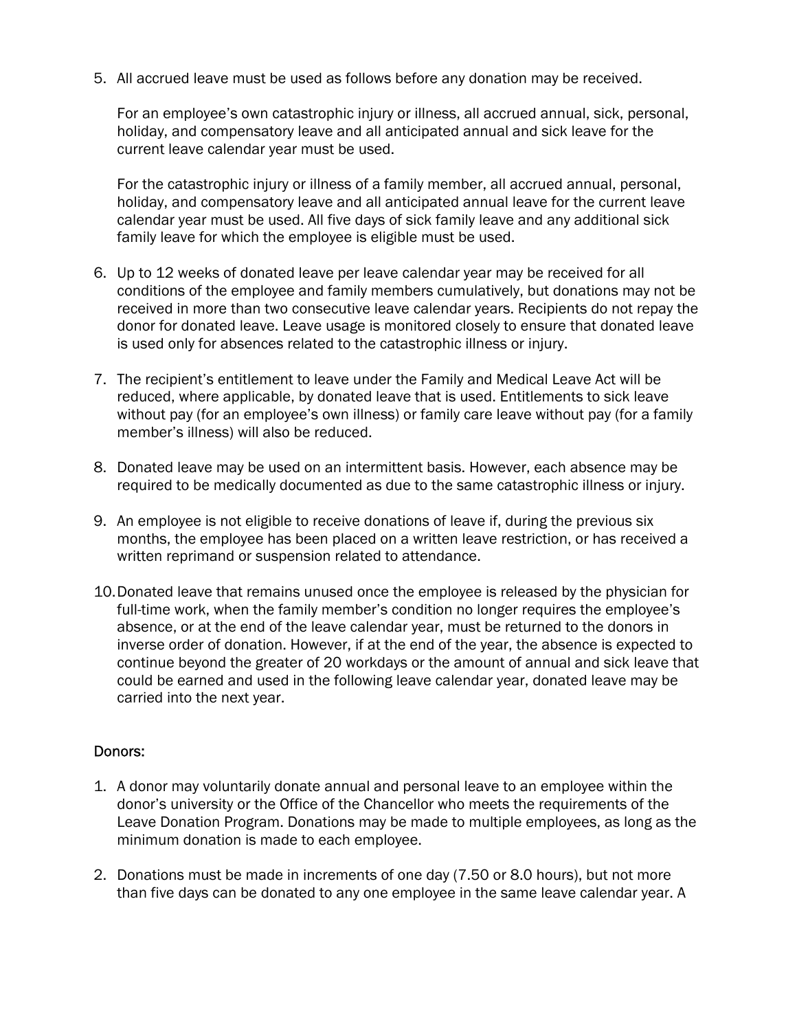5. All accrued leave must be used as follows before any donation may be received.

For an employee's own catastrophic injury or illness, all accrued annual, sick, personal, holiday, and compensatory leave and all anticipated annual and sick leave for the current leave calendar year must be used.

For the catastrophic injury or illness of a family member, all accrued annual, personal, holiday, and compensatory leave and all anticipated annual leave for the current leave calendar year must be used. All five days of sick family leave and any additional sick family leave for which the employee is eligible must be used.

- 6. Up to 12 weeks of donated leave per leave calendar year may be received for all conditions of the employee and family members cumulatively, but donations may not be received in more than two consecutive leave calendar years. Recipients do not repay the donor for donated leave. Leave usage is monitored closely to ensure that donated leave is used only for absences related to the catastrophic illness or injury.
- 7. The recipient's entitlement to leave under the Family and Medical Leave Act will be reduced, where applicable, by donated leave that is used. Entitlements to sick leave without pay (for an employee's own illness) or family care leave without pay (for a family member's illness) will also be reduced.
- 8. Donated leave may be used on an intermittent basis. However, each absence may be required to be medically documented as due to the same catastrophic illness or injury.
- 9. An employee is not eligible to receive donations of leave if, during the previous six months, the employee has been placed on a written leave restriction, or has received a written reprimand or suspension related to attendance.
- 10.Donated leave that remains unused once the employee is released by the physician for full-time work, when the family member's condition no longer requires the employee's absence, or at the end of the leave calendar year, must be returned to the donors in inverse order of donation. However, if at the end of the year, the absence is expected to continue beyond the greater of 20 workdays or the amount of annual and sick leave that could be earned and used in the following leave calendar year, donated leave may be carried into the next year.

## Donors:

- 1. A donor may voluntarily donate annual and personal leave to an employee within the donor's university or the Office of the Chancellor who meets the requirements of the Leave Donation Program. Donations may be made to multiple employees, as long as the minimum donation is made to each employee.
- 2. Donations must be made in increments of one day (7.50 or 8.0 hours), but not more than five days can be donated to any one employee in the same leave calendar year. A